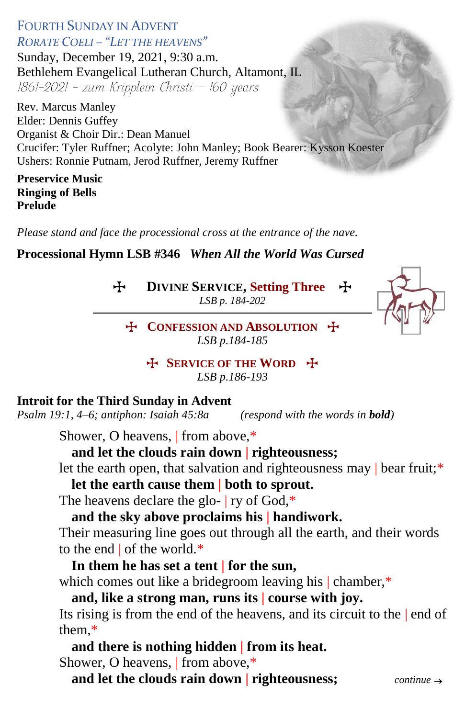### FOURTH SUNDAY IN ADVENT *RORATE COELI – "LET THE HEAVENS"*

Sunday, December 19, 2021, 9:30 a.m. Bethlehem Evangelical Lutheran Church, Altamont, IL 1861-2021 - zum Kripplein Christi - 160 years

Rev. Marcus Manley Elder: Dennis Guffey Organist & Choir Dir.: Dean Manuel Crucifer: Tyler Ruffner; Acolyte: John Manley; Book Bearer: Kysson Koester Ushers: Ronnie Putnam, Jerod Ruffner, Jeremy Ruffner

#### **Preservice Music Ringing of Bells Prelude**

*Please stand and face the processional cross at the entrance of the nave.*

# **Processional Hymn LSB #346** *When All the World Was Cursed*

T **DIVINE SERVICE, Setting Three** T

*LSB p. 184-202*



T **CONFESSION AND ABSOLUTION** T *LSB p.184-185*

> T **SERVICE OF THE WORD** T *LSB p.186-193*

# **Introit for the Third Sunday in Advent**

*Psalm 19:1, 4–6; antiphon: Isaiah 45:8a (respond with the words in bold)* 

Shower, O heavens, | from above,\*

## **and let the clouds rain down | righteousness;**

let the earth open, that salvation and righteousness may | bear fruit;\*

**let the earth cause them | both to sprout.**

The heavens declare the glo- | ry of God,\*

# **and the sky above proclaims his | handiwork.**

Their measuring line goes out through all the earth, and their words to the end | of the world.\*

# **In them he has set a tent | for the sun,**

which comes out like a bridegroom leaving his | chamber,\*

# **and, like a strong man, runs its | course with joy.**

Its rising is from the end of the heavens, and its circuit to the | end of them,\*

# **and there is nothing hidden | from its heat.**

Shower, O heavens, | from above,\*

**and let the clouds rain down | righteousness;** *continue*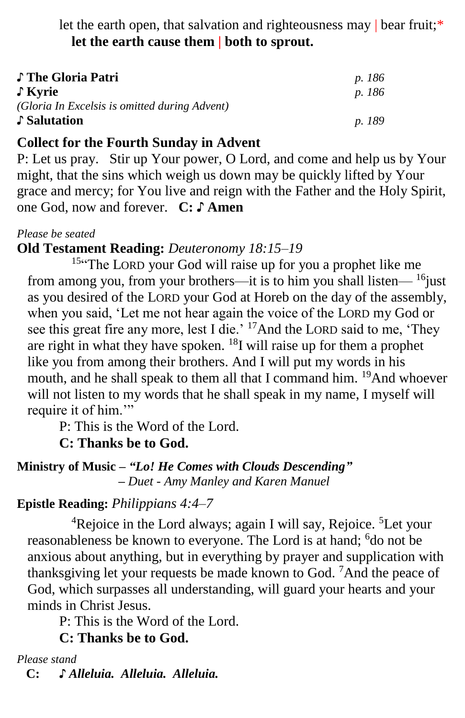let the earth open, that salvation and righteousness may | bear fruit;\* **let the earth cause them | both to sprout.**

| ♪ The Gloria Patri                            | p. 186 |
|-----------------------------------------------|--------|
| ↓ Kyrie                                       | p. 186 |
| (Gloria In Excelsis is omitted during Advent) |        |
| ♪ Salutation                                  | p. 189 |

# **Collect for the Fourth Sunday in Advent**

P: Let us pray. Stir up Your power, O Lord, and come and help us by Your might, that the sins which weigh us down may be quickly lifted by Your grace and mercy; for You live and reign with the Father and the Holy Spirit, one God, now and forever. **C: ♪ Amen**

*Please be seated*

## **Old Testament Reading:** *Deuteronomy 18:15–19*

<sup>15"</sup>The LORD your God will raise up for you a prophet like me from among you, from your brothers—it is to him you shall listen—  $\frac{16}{10}$ ust as you desired of the LORD your God at Horeb on the day of the assembly, when you said, 'Let me not hear again the voice of the LORD my God or see this great fire any more, lest I die.' <sup>17</sup>And the LORD said to me, 'They are right in what they have spoken. <sup>18</sup>I will raise up for them a prophet like you from among their brothers. And I will put my words in his mouth, and he shall speak to them all that I command him. <sup>19</sup>And whoever will not listen to my words that he shall speak in my name, I myself will require it of him."

P: This is the Word of the Lord.

**C: Thanks be to God.**

**Ministry of Music –** *"Lo! He Comes with Clouds Descending"*  *– Duet - Amy Manley and Karen Manuel*

#### **Epistle Reading:** *Philippians 4:4–7*

 ${}^{4}$ Rejoice in the Lord always; again I will say, Rejoice.  ${}^{5}$ Let your reasonableness be known to everyone. The Lord is at hand; <sup>6</sup>do not be anxious about anything, but in everything by prayer and supplication with thanksgiving let your requests be made known to God. <sup>7</sup>And the peace of God, which surpasses all understanding, will guard your hearts and your minds in Christ Jesus.

P: This is the Word of the Lord.

**C: Thanks be to God.**

*Please stand*

 **C: ♪** *Alleluia. Alleluia. Alleluia.*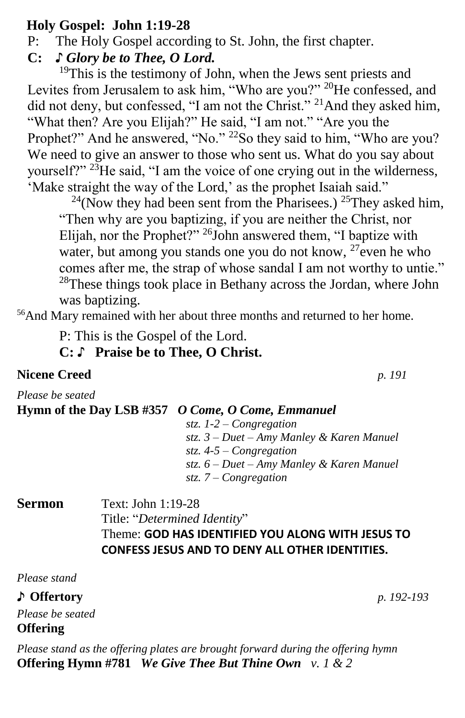# **Holy Gospel: John 1:19-28**

P: The Holy Gospel according to St. John, the first chapter.

**C:** *♪ Glory be to Thee, O Lord.*

 $19$ This is the testimony of John, when the Jews sent priests and Levites from Jerusalem to ask him, "Who are you?" <sup>20</sup>He confessed, and did not deny, but confessed, "I am not the Christ." <sup>21</sup>And they asked him, "What then? Are you Elijah?" He said, "I am not." "Are you the Prophet?" And he answered, "No." <sup>22</sup>So they said to him, "Who are you? We need to give an answer to those who sent us. What do you say about yourself?"  $23$ He said, "I am the voice of one crying out in the wilderness, 'Make straight the way of the Lord,' as the prophet Isaiah said."

<sup>24</sup>(Now they had been sent from the Pharisees.) <sup>25</sup>They asked him, "Then why are you baptizing, if you are neither the Christ, nor Elijah, nor the Prophet?" <sup>26</sup>John answered them, "I baptize with water, but among you stands one you do not know,  $27$  even he who comes after me, the strap of whose sandal I am not worthy to untie." <sup>28</sup>These things took place in Bethany across the Jordan, where John was baptizing.

<sup>56</sup>And Mary remained with her about three months and returned to her home.

P: This is the Gospel of the Lord.

**C:** ♪ **Praise be to Thee, O Christ.**

# **Nicene Creed** *p. 191*

*Please be seated*

# **Hymn of the Day LSB #357** *O Come, O Come, Emmanuel*

*stz. 1-2 – Congregation stz. 3 – Duet – Amy Manley & Karen Manuel stz. 4-5 – Congregation stz. 6 – Duet – Amy Manley & Karen Manuel stz. 7 – Congregation*

### **Sermon** Text: John 1:19-28 Title: "*Determined Identity*" Theme: **GOD HAS IDENTIFIED YOU ALONG WITH JESUS TO CONFESS JESUS AND TO DENY ALL OTHER IDENTITIES.**

*Please stand*

♪ **Offertory** *p. 192-193 Please be seated* **Offering** 

*Please stand as the offering plates are brought forward during the offering hymn* **Offering Hymn #781** *We Give Thee But Thine Own v. 1 & 2*